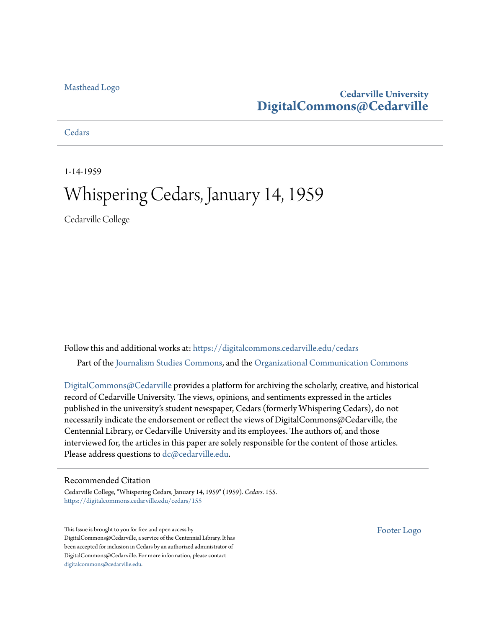#### [Masthead Logo](http://www.cedarville.edu/?utm_source=digitalcommons.cedarville.edu%2Fcedars%2F155&utm_medium=PDF&utm_campaign=PDFCoverPages)

#### **Cedarville University [DigitalCommons@Cedarville](https://digitalcommons.cedarville.edu?utm_source=digitalcommons.cedarville.edu%2Fcedars%2F155&utm_medium=PDF&utm_campaign=PDFCoverPages)**

**[Cedars](https://digitalcommons.cedarville.edu/cedars?utm_source=digitalcommons.cedarville.edu%2Fcedars%2F155&utm_medium=PDF&utm_campaign=PDFCoverPages)** 

1-14-1959

### Whispering Cedars, January 14, 1959

Cedarville College

Follow this and additional works at: [https://digitalcommons.cedarville.edu/cedars](https://digitalcommons.cedarville.edu/cedars?utm_source=digitalcommons.cedarville.edu%2Fcedars%2F155&utm_medium=PDF&utm_campaign=PDFCoverPages) Part of the [Journalism Studies Commons](http://network.bepress.com/hgg/discipline/333?utm_source=digitalcommons.cedarville.edu%2Fcedars%2F155&utm_medium=PDF&utm_campaign=PDFCoverPages), and the [Organizational Communication Commons](http://network.bepress.com/hgg/discipline/335?utm_source=digitalcommons.cedarville.edu%2Fcedars%2F155&utm_medium=PDF&utm_campaign=PDFCoverPages)

[DigitalCommons@Cedarville](http://digitalcommons.cedarville.edu/) provides a platform for archiving the scholarly, creative, and historical record of Cedarville University. The views, opinions, and sentiments expressed in the articles published in the university's student newspaper, Cedars (formerly Whispering Cedars), do not necessarily indicate the endorsement or reflect the views of DigitalCommons@Cedarville, the Centennial Library, or Cedarville University and its employees. The authors of, and those interviewed for, the articles in this paper are solely responsible for the content of those articles. Please address questions to [dc@cedarville.edu.](mailto:dc@cedarville.edu)

#### Recommended Citation

Cedarville College, "Whispering Cedars, January 14, 1959" (1959). *Cedars*. 155. [https://digitalcommons.cedarville.edu/cedars/155](https://digitalcommons.cedarville.edu/cedars/155?utm_source=digitalcommons.cedarville.edu%2Fcedars%2F155&utm_medium=PDF&utm_campaign=PDFCoverPages)

This Issue is brought to you for free and open access by DigitalCommons@Cedarville, a service of the Centennial Library. It has been accepted for inclusion in Cedars by an authorized administrator of DigitalCommons@Cedarville. For more information, please contact [digitalcommons@cedarville.edu](mailto:digitalcommons@cedarville.edu).

[Footer Logo](http://www.cedarville.edu/Academics/Library.aspx?utm_source=digitalcommons.cedarville.edu%2Fcedars%2F155&utm_medium=PDF&utm_campaign=PDFCoverPages)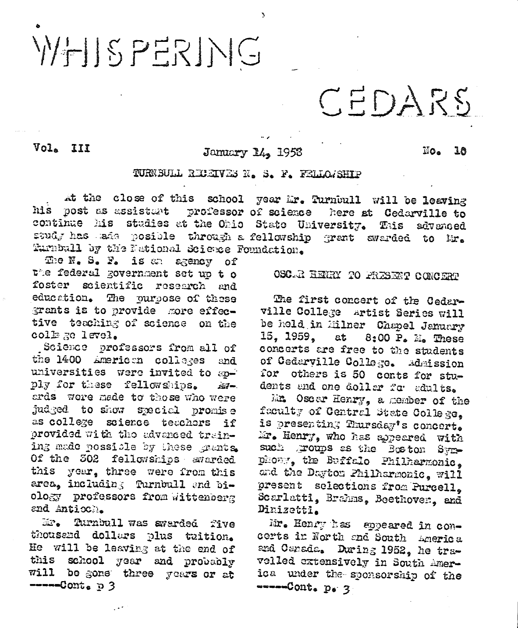# WHISPERING

## CEDARS

Vol. III

#### January 14, 1953

 $\mathbb{N}$ o. 10

#### TURNBULL REGENES N. S. F. FELLOISHIP

at the close of this school year Mr. Turnbull will be leaving his post as assistant professor of science here at Cedarville to continue his studies at the Ohio State University. This advanced study has sade posible through a fellowship grant awarded to Mr. Turnbull by the National Science Foundation.

The N. S. F. is an agency of the federal government set up t o foster scientific research and education. The purpose of these grants is to provide more effective teaching of science on the collage level.

Science professors from all of the 1400 American colleges and universities were invited to spply for these fellowships. À₫⊷. ards were made to those who were judged to show special promise as college science teachers if provided with the advanced training made possible by these grants. Of the 302 fellowships avarded this your, three were from this area, including Turnbull and biology professors from wittenberg and Antioch.

Turnbull was awarded five  $\mathcal{H}^{2}$ thousend dollars plus tuition. He will be leaving at the end of this school year and probably will be gone three years or at  $---Count<sub>e</sub>$  p 3

#### OSC.R HENRY TO PRESENT CONCERT

The first concert of the Cedarville College artist Series will be held in Milner Chapel January 15. 1959. at 8:00 P. M. These concerts are free to the students of Cedarville College. Admission for others is 50 conts for students and one doller for adults.

Mr. Oscar Henry, a member of the feculty of Central State College. is presenting Thursday's concert. Mr. Henry, who has appeared with such groups as the Boston Symphony, the Buffalo Philharmonic. and the Dayton Philharmonic, will present selections from Purcell. Scarlatti, Brahms. Beethoven. and Dinizetti.

Mr. Henry has spoeared in concerts in North and South America and Canada. During 1952, he travelled extensively in South America under the sponsorship of the -----Cont. p. 3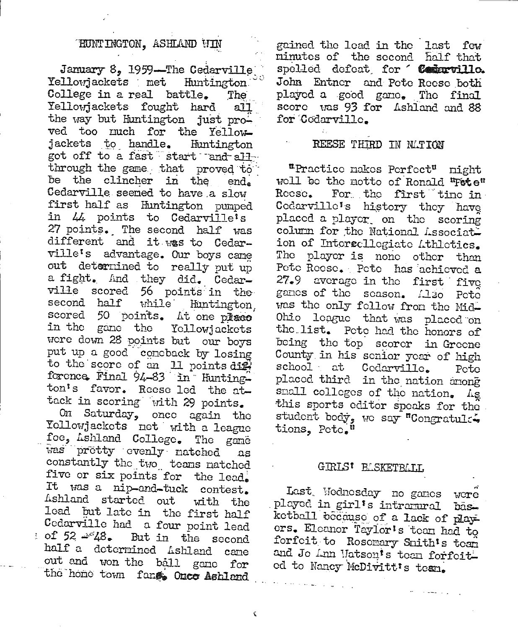#### HUNTINGTON, ASHLAND VIN

January 8, 1959—The Cedarville College in a real battle. The Yellowiackets fought hard  $a$ ll the way but Huntington just proved too much for the Yellowjackets to handle. Huntington got off to a fast start and all through the game that proved to be the clincher in the end. Cedarville seemed to have a slow first half as Huntington pumped in 44 points to Cedarville's 27 points. The second half was different and it was to Cedarville's advantage. Our boys came out determined to really put up a fight. And they did. Cedarville scored 56 points in the second half while Huntington. scored 50 points. At one place in the game the Yellowiackets were down 28 points but our boys put up a good concback by losing to the score of an 11 points dig. forence Final 94-83 in Huntington's favor. Reese led the attack in scoring with 29 points.

On Saturday, once again the Yollowjackets net with a league foe, Ashland College. The game was pretty evenly natched ΩS constantly the two teams natched five or six points for the lead. It was a nip-and-tuck contest. Ashland started out with the lead but late in the first half Cedarville had a four point lead : of  $52 \approx 48$ . But in the second half a determined Ashland cane out and won the ball game for the home town fand Once Ashland

ċ

gained the lead in the last few minutes of the second half that spelled defeat for "Contervillo. John Entner and Pete Reese both played a good game. The final score was 93 for Ashland and 88 for Codarville.

#### REESE THIRD IN MATION

"Practice nakes Perfect" night well be the motto of Ronald "Fete" For the first tine in Reese. Codarville's history they have placed a player on the scoring column for the National Associati ion of Intersellegiate Athletics. The player is none other than Pete Reese. Pete has achieved a 27.9 average in the first five games of the season. Also Pete was the only fellow from the Mid-Ohio league that was placed on the list. Pete had the honors of being the top scorer in Greene County in his senior year of high school at Codarville. Pote placed third in the nation among small colleges of the nation. As this sports editor speaks for the student body, we say "Congratule. tions, Pete."

#### GIRLS<sup>t</sup> BLSKETBLIJ.

Last Wednesday no ganes were played in girl's intramural basketball because of a lack of players. Eleanor Taylor's tean had to forfeit to Rosemary Smith's team and Jo Ann Matson's tean forfeit. ed to Nancy McDivitt's team.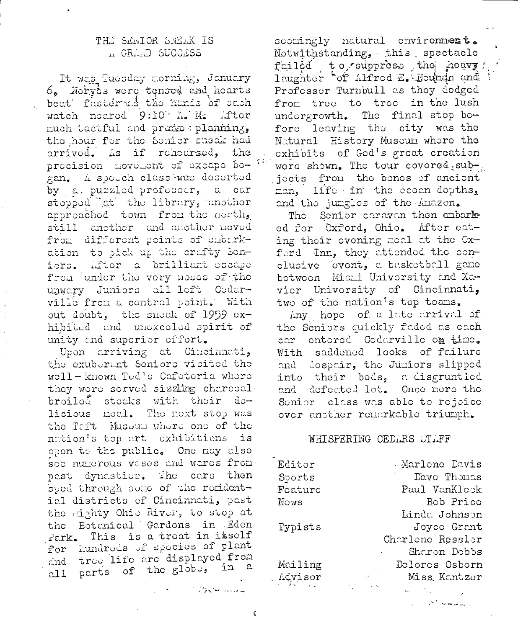#### THE SENIOR SNEAK IS A GRAAD SUCCESS

It was Tuesday morning, January 6. Norves were tensed and hearts beat fastdrad the hands of each watch neared 9:10 h. M. After much tactful and prains planning, the hour for the Sonior sneak had arrived. As if rehearsed, the procision movement of excape began. A speech class was deserted by a puzzled professor, a car stopped gt the library, another approached town from the north, still another and another moved from different points of embarkation to pick up the crafty Soniors. After a brilliant escape from under the very neses of the unwary Juniors all left Cedarville from a contral point. With out doubt, the snock of 1959 exhibited and unexceled spirit of unity and superior effort.

Upon arriving at Cincinnati, the exuberant Seniors visited the well-known Ted's Cafeteria where they were served sizzling charcoal broiled stecks with their delicious meal. The next stop was the Taft Museum where one of the nation's top art exhibitions is open to the public. One may also see numerous vases and wares from past dynastics. The cars then sped through some of the residential districts of Cincinnati, past the mighty Ohio River, to stop at the Botanical Gardens in Eden Park. This is a treat in itself for hundreds of species of plant and tree life are displayed from all parts of the globe, in a

secringly natural environment. Notwithstanding, this spectacle failed to suppress the heavy laughter of Alfred E. Neuman and Professor Turnbull as they dodged from tree to tree in the lush undergrowth. The final stop before leaving the city was the Natural History Museum where the exhibits of God's great creation were shown. The tour covored subjects from the bones of ancient man, life in the ocean depths, and the jumgles of the Amazon.

The Senior caravan then embarked for Oxford, Ohio. After eating their evening meal at the Oxford Inn, they attended the conclusive cvent, a basketball game between Miani University and Xavier University of Cincinnati, two of the nation's top teams.

Any hope of a late arrival of the Seniors quickly faded as each car entered Codarville on time. With saddened looks of failure and despair, the Juniors slipped into their beds, a disgruntled and defected lot. Once nore the Senior class was able to rejoice over another remarkable triumph.

#### WHISPERING CEDARS STAFF

| Editor  | Marlene Davis    |
|---------|------------------|
| Sports  | Dave Thomas      |
| Foature | Paul VanKlook    |
| Nows    | Bob Price        |
|         | Linda Johnson    |
| Typists | Joyce Grant      |
|         | Charlene Ressler |
|         | Sharon Dobbs     |
| Mailing | Delores Osborn   |
| Advisor | Miss Kantzer     |
|         |                  |

ستمددت الحاياة وأدار